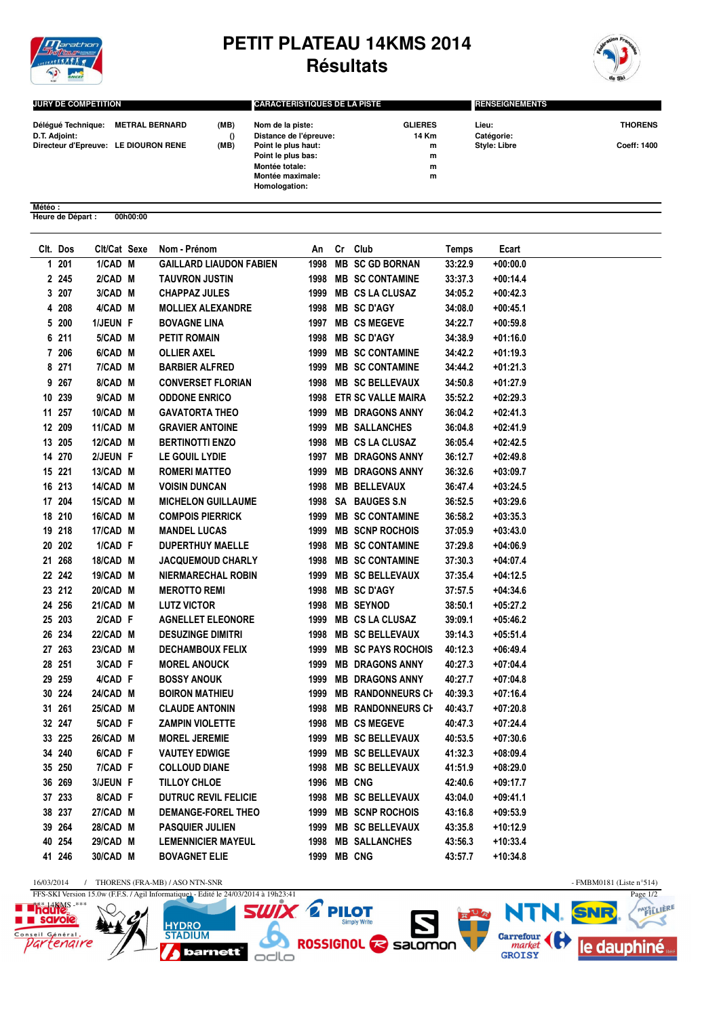

## **PETIT PLATEAU 14KMS 2014 Résultats**



Page 1/2

SNR

le dauphiné

N

**Carrefour**<br>*market*<br>GROISY

**KB** 

PAYSTLIERE

≾

| <b>JURY DE COMPETITION</b>          |                                                        |  | <b>CARACTERISTIQUES DE LA PISTE</b>                                                                       |                                   | <b>RENSEIGNEMENTS</b>                      |                                      |  |
|-------------------------------------|--------------------------------------------------------|--|-----------------------------------------------------------------------------------------------------------|-----------------------------------|--------------------------------------------|--------------------------------------|--|
| Déléqué Technique:<br>D.T. Adjoint: | METRAL BERNARD<br>Directeur d'Epreuve: LE DIOURON RENE |  | Nom de la piste:<br>Distance de l'épreuve:<br>Point le plus haut:<br>Point le plus bas:<br>Montée totale: | <b>GLIERES</b><br>14 Km<br>m<br>m | Lieu:<br>Catégorie:<br><b>Style: Libre</b> | <b>THORENS</b><br><b>Coeff: 1400</b> |  |
|                                     |                                                        |  | Montée maximale:<br>Homologation:                                                                         | m<br>m                            |                                            |                                      |  |

**Météo : Heure de Départ : 00h00:00**

|   | Clt. Dos | Clt/Cat Sexe | Nom - Prénom                   | An          | Cr Club                   | <b>Temps</b> | Ecart      |
|---|----------|--------------|--------------------------------|-------------|---------------------------|--------------|------------|
|   | $1201$   | 1/CAD M      | <b>GAILLARD LIAUDON FABIEN</b> | 1998        | <b>MB SC GD BORNAN</b>    | 33:22.9      | $+00:00.0$ |
|   | 2 2 4 5  | 2/CAD M      | <b>TAUVRON JUSTIN</b>          | 1998        | <b>MB SC CONTAMINE</b>    | 33:37.3      | $+00:14.4$ |
|   | 3 207    | 3/CAD M      | <b>CHAPPAZ JULES</b>           | 1999        | <b>MB CS LA CLUSAZ</b>    | 34:05.2      | $+00:42.3$ |
|   | 4 208    | 4/CAD M      | <b>MOLLIEX ALEXANDRE</b>       | 1998        | <b>MB SC D'AGY</b>        | 34:08.0      | $+00:45.1$ |
|   | 5 200    | 1/JEUN F     | <b>BOVAGNE LINA</b>            |             | 1997 MB CS MEGEVE         | 34:22.7      | $+00:59.8$ |
|   | 6 211    | 5/CAD M      | <b>PETIT ROMAIN</b>            | 1998        | <b>MB SC D'AGY</b>        | 34:38.9      | $+01:16.0$ |
|   | 7 206    | 6/CAD M      | OLLIER AXEL                    | 1999        | <b>MB SC CONTAMINE</b>    | 34:42.2      | $+01:19.3$ |
|   | 8 271    | 7/CAD M      | <b>BARBIER ALFRED</b>          | 1999        | <b>MB SC CONTAMINE</b>    | 34:44.2      | $+01:21.3$ |
| 9 | 267      | 8/CAD M      | <b>CONVERSET FLORIAN</b>       | 1998        | <b>MB SC BELLEVAUX</b>    | 34:50.8      | $+01:27.9$ |
|   | 10 239   | 9/CAD M      | <b>ODDONE ENRICO</b>           | 1998        | <b>ETR SC VALLE MAIRA</b> | 35:52.2      | $+02:29.3$ |
|   | 11 257   | 10/CAD M     | <b>GAVATORTA THEO</b>          | 1999        | <b>MB DRAGONS ANNY</b>    | 36:04.2      | $+02:41.3$ |
|   | 12 209   | 11/CAD M     | <b>GRAVIER ANTOINE</b>         | 1999        | <b>MB SALLANCHES</b>      | 36:04.8      | $+02:41.9$ |
|   | 13 205   | 12/CAD M     | <b>BERTINOTTI ENZO</b>         | 1998        | <b>MB CS LA CLUSAZ</b>    | 36:05.4      | $+02:42.5$ |
|   | 14 270   | 2/JEUN F     | LE GOUIL LYDIE                 | 1997        | <b>MB DRAGONS ANNY</b>    | 36:12.7      | $+02:49.8$ |
|   | 15 221   | 13/CAD M     | <b>ROMERI MATTEO</b>           | 1999        | <b>MB DRAGONS ANNY</b>    | 36:32.6      | $+03:09.7$ |
|   | 16 213   | 14/CAD M     | <b>VOISIN DUNCAN</b>           | 1998        | <b>MB BELLEVAUX</b>       | 36:47.4      | $+03:24.5$ |
|   | 17 204   | 15/CAD M     | <b>MICHELON GUILLAUME</b>      | 1998        | SA BAUGES S.N             | 36:52.5      | $+03:29.6$ |
|   | 18 210   | 16/CAD M     | <b>COMPOIS PIERRICK</b>        | 1999        | <b>MB SC CONTAMINE</b>    | 36:58.2      | $+03:35.3$ |
|   | 19 218   | 17/CAD M     | <b>MANDEL LUCAS</b>            | 1999        | <b>MB SCNP ROCHOIS</b>    | 37:05.9      | $+03:43.0$ |
|   | 20 202   | 1/CAD F      | <b>DUPERTHUY MAELLE</b>        | 1998        | <b>MB SC CONTAMINE</b>    | 37:29.8      | $+04:06.9$ |
|   | 21 268   | 18/CAD M     | <b>JACQUEMOUD CHARLY</b>       | 1998        | <b>MB SC CONTAMINE</b>    | 37:30.3      | $+04:07.4$ |
|   | 22 242   | 19/CAD M     | <b>NIERMARECHAL ROBIN</b>      | 1999        | <b>MB SC BELLEVAUX</b>    | 37:35.4      | $+04:12.5$ |
|   | 23 212   | 20/CAD M     | <b>MEROTTO REMI</b>            | 1998        | <b>MB SC D'AGY</b>        | 37:57.5      | $+04:34.6$ |
|   | 24 256   | 21/CAD M     | <b>LUTZ VICTOR</b>             | 1998        | <b>MB SEYNOD</b>          | 38:50.1      | $+05:27.2$ |
|   | 25 203   | 2/CAD F      | <b>AGNELLET ELEONORE</b>       | 1999        | <b>MB CS LA CLUSAZ</b>    | 39:09.1      | $+05:46.2$ |
|   | 26 234   | 22/CAD M     | <b>DESUZINGE DIMITRI</b>       | 1998        | <b>MB SC BELLEVAUX</b>    | 39:14.3      | $+05:51.4$ |
|   | 27 263   | 23/CAD M     | <b>DECHAMBOUX FELIX</b>        | 1999        | <b>MB SC PAYS ROCHOIS</b> | 40:12.3      | $+06:49.4$ |
|   | 28 251   | 3/CAD F      | <b>MOREL ANOUCK</b>            | 1999        | <b>MB DRAGONS ANNY</b>    | 40:27.3      | $+07:04.4$ |
|   | 29 259   | 4/CAD F      | <b>BOSSY ANOUK</b>             | 1999        | <b>MB DRAGONS ANNY</b>    | 40:27.7      | $+07:04.8$ |
|   | 30 224   | 24/CAD M     | <b>BOIRON MATHIEU</b>          | 1999        | <b>MB RANDONNEURS CH</b>  | 40:39.3      | +07:16.4   |
|   | 31 261   | 25/CAD M     | <b>CLAUDE ANTONIN</b>          | 1998        | <b>MB RANDONNEURS CH</b>  | 40:43.7      | $+07:20.8$ |
|   | 32 247   | 5/CAD F      | <b>ZAMPIN VIOLETTE</b>         | 1998        | <b>MB CS MEGEVE</b>       | 40:47.3      | $+07:24.4$ |
|   | 33 225   | 26/CAD M     | <b>MOREL JEREMIE</b>           | 1999        | <b>MB SC BELLEVAUX</b>    | 40:53.5      | $+07:30.6$ |
|   | 34 240   | 6/CAD F      | <b>VAUTEY EDWIGE</b>           | 1999        | <b>MB SC BELLEVAUX</b>    | 41:32.3      | $+08:09.4$ |
|   | 35 250   | 7/CAD F      | <b>COLLOUD DIANE</b>           | 1998        | <b>MB SC BELLEVAUX</b>    | 41:51.9      | $+08:29.0$ |
|   | 36 269   | 3/JEUN F     | TILLOY CHLOE                   | 1996        | <b>MB CNG</b>             | 42:40.6      | $+09:17.7$ |
|   | 37 233   | 8/CAD F      | <b>DUTRUC REVIL FELICIE</b>    | 1998        | <b>MB SC BELLEVAUX</b>    | 43:04.0      | $+09:41.1$ |
|   | 38 237   | 27/CAD M     | DEMANGE-FOREL THEO             | 1999        | <b>MB SCNP ROCHOIS</b>    | 43:16.8      | $+09:53.9$ |
|   | 39 264   | 28/CAD M     | <b>PASQUIER JULIEN</b>         | 1999        | <b>MB SC BELLEVAUX</b>    | 43:35.8      | +10:12.9   |
|   | 40 254   | 29/CAD M     | <b>LEMENNICIER MAYEUL</b>      | 1998        | <b>MB SALLANCHES</b>      | 43:56.3      | $+10:33.4$ |
|   | 41 246   | 30/CAD M     | <b>BOVAGNET ELIE</b>           | 1999 MB CNG |                           | 43:57.7      | $+10:34.8$ |
|   |          |              |                                |             |                           |              |            |

Simply Write

ROSSIGNOL **C** salomon

16/03/2014 / THORENS (FRA-MB) / ASO NTN-SNR - FMBM0181 (Liste n°514) FFS-SKI Version 15.0w (F.F.S. / Agil Informatique) - Edité le 24/03/2014 à 19h23:41

 $\overline{d}$ 

**HYDRO**<br>STADIUM

**barnett** 

6

odlo

 $\mathcal{Q}$ 

**E Thauks** 

Conseil Général.